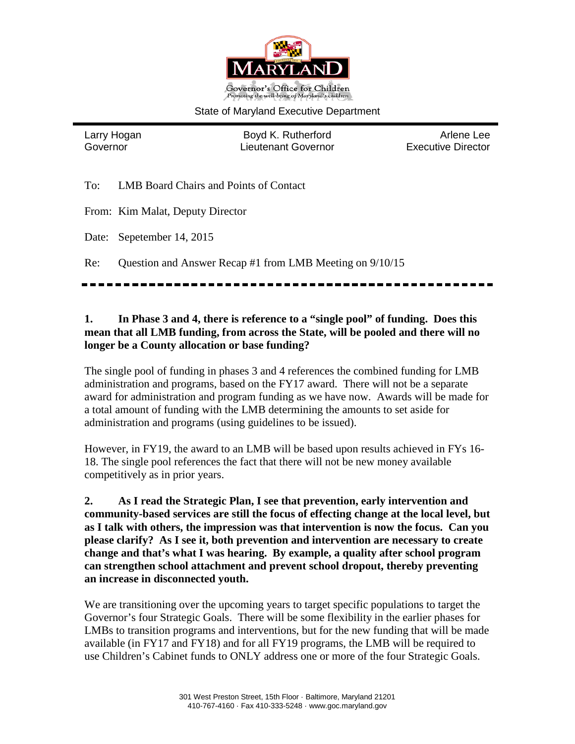

#### State of Maryland Executive Department

Larry Hogan Boyd K. Rutherford Arlene Lee Governor Lieutenant Governor Executive Director

To: LMB Board Chairs and Points of Contact

From: Kim Malat, Deputy Director

Date: Sepetember 14, 2015

Re: Question and Answer Recap #1 from LMB Meeting on 9/10/15

## **1. In Phase 3 and 4, there is reference to a "single pool" of funding. Does this mean that all LMB funding, from across the State, will be pooled and there will no longer be a County allocation or base funding?**

The single pool of funding in phases 3 and 4 references the combined funding for LMB administration and programs, based on the FY17 award. There will not be a separate award for administration and program funding as we have now. Awards will be made for a total amount of funding with the LMB determining the amounts to set aside for administration and programs (using guidelines to be issued).

However, in FY19, the award to an LMB will be based upon results achieved in FYs 16- 18. The single pool references the fact that there will not be new money available competitively as in prior years.

**2. As I read the Strategic Plan, I see that prevention, early intervention and community-based services are still the focus of effecting change at the local level, but as I talk with others, the impression was that intervention is now the focus. Can you please clarify? As I see it, both prevention and intervention are necessary to create change and that's what I was hearing. By example, a quality after school program can strengthen school attachment and prevent school dropout, thereby preventing an increase in disconnected youth.**

We are transitioning over the upcoming years to target specific populations to target the Governor's four Strategic Goals. There will be some flexibility in the earlier phases for LMBs to transition programs and interventions, but for the new funding that will be made available (in FY17 and FY18) and for all FY19 programs, the LMB will be required to use Children's Cabinet funds to ONLY address one or more of the four Strategic Goals.